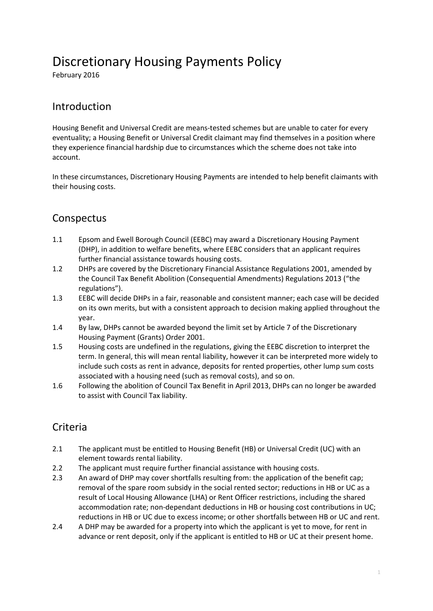# Discretionary Housing Payments Policy

February 2016

#### Introduction

Housing Benefit and Universal Credit are means-tested schemes but are unable to cater for every eventuality; a Housing Benefit or Universal Credit claimant may find themselves in a position where they experience financial hardship due to circumstances which the scheme does not take into account.

In these circumstances, Discretionary Housing Payments are intended to help benefit claimants with their housing costs.

### Conspectus

- 1.1 Epsom and Ewell Borough Council (EEBC) may award a Discretionary Housing Payment (DHP), in addition to welfare benefits, where EEBC considers that an applicant requires further financial assistance towards housing costs.
- 1.2 DHPs are covered by the Discretionary Financial Assistance Regulations 2001, amended by the Council Tax Benefit Abolition (Consequential Amendments) Regulations 2013 ("the regulations").
- 1.3 EEBC will decide DHPs in a fair, reasonable and consistent manner; each case will be decided on its own merits, but with a consistent approach to decision making applied throughout the year.
- 1.4 By law, DHPs cannot be awarded beyond the limit set by Article 7 of the Discretionary Housing Payment (Grants) Order 2001.
- 1.5 Housing costs are undefined in the regulations, giving the EEBC discretion to interpret the term. In general, this will mean rental liability, however it can be interpreted more widely to include such costs as rent in advance, deposits for rented properties, other lump sum costs associated with a housing need (such as removal costs), and so on.
- 1.6 Following the abolition of Council Tax Benefit in April 2013, DHPs can no longer be awarded to assist with Council Tax liability.

### **Criteria**

- 2.1 The applicant must be entitled to Housing Benefit (HB) or Universal Credit (UC) with an element towards rental liability.
- 2.2 The applicant must require further financial assistance with housing costs.
- 2.3 An award of DHP may cover shortfalls resulting from: the application of the benefit cap; removal of the spare room subsidy in the social rented sector; reductions in HB or UC as a result of Local Housing Allowance (LHA) or Rent Officer restrictions, including the shared accommodation rate; non-dependant deductions in HB or housing cost contributions in UC; reductions in HB or UC due to excess income; or other shortfalls between HB or UC and rent.
- 2.4 A DHP may be awarded for a property into which the applicant is yet to move, for rent in advance or rent deposit, only if the applicant is entitled to HB or UC at their present home.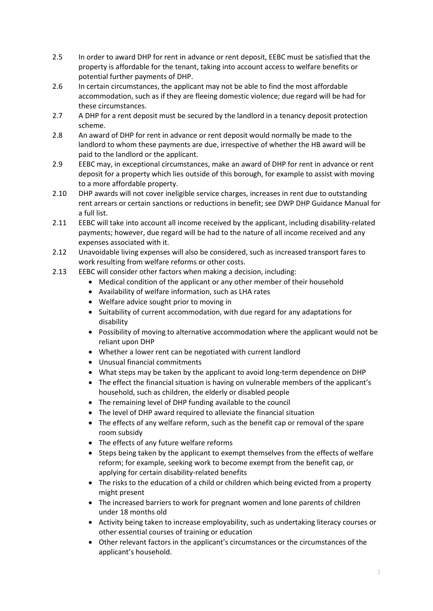- 2.5 In order to award DHP for rent in advance or rent deposit, EEBC must be satisfied that the property is affordable for the tenant, taking into account access to welfare benefits or potential further payments of DHP.
- 2.6 In certain circumstances, the applicant may not be able to find the most affordable accommodation, such as if they are fleeing domestic violence; due regard will be had for these circumstances.
- 2.7 A DHP for a rent deposit must be secured by the landlord in a tenancy deposit protection scheme.
- 2.8 An award of DHP for rent in advance or rent deposit would normally be made to the landlord to whom these payments are due, irrespective of whether the HB award will be paid to the landlord or the applicant.
- 2.9 EEBC may, in exceptional circumstances, make an award of DHP for rent in advance or rent deposit for a property which lies outside of this borough, for example to assist with moving to a more affordable property.
- 2.10 DHP awards will not cover ineligible service charges, increases in rent due to outstanding rent arrears or certain sanctions or reductions in benefit; see DWP DHP Guidance Manual for a full list.
- 2.11 EEBC will take into account all income received by the applicant, including disability-related payments; however, due regard will be had to the nature of all income received and any expenses associated with it.
- 2.12 Unavoidable living expenses will also be considered, such as increased transport fares to work resulting from welfare reforms or other costs.
- 2.13 EEBC will consider other factors when making a decision, including:
	- Medical condition of the applicant or any other member of their household
	- Availability of welfare information, such as LHA rates
	- Welfare advice sought prior to moving in
	- Suitability of current accommodation, with due regard for any adaptations for disability
	- Possibility of moving to alternative accommodation where the applicant would not be reliant upon DHP
	- Whether a lower rent can be negotiated with current landlord
	- Unusual financial commitments
	- What steps may be taken by the applicant to avoid long-term dependence on DHP
	- The effect the financial situation is having on vulnerable members of the applicant's household, such as children, the elderly or disabled people
	- The remaining level of DHP funding available to the council
	- The level of DHP award required to alleviate the financial situation
	- The effects of any welfare reform, such as the benefit cap or removal of the spare room subsidy
	- The effects of any future welfare reforms
	- Steps being taken by the applicant to exempt themselves from the effects of welfare reform; for example, seeking work to become exempt from the benefit cap, or applying for certain disability-related benefits
	- The risks to the education of a child or children which being evicted from a property might present
	- The increased barriers to work for pregnant women and lone parents of children under 18 months old
	- Activity being taken to increase employability, such as undertaking literacy courses or other essential courses of training or education
	- Other relevant factors in the applicant's circumstances or the circumstances of the applicant's household.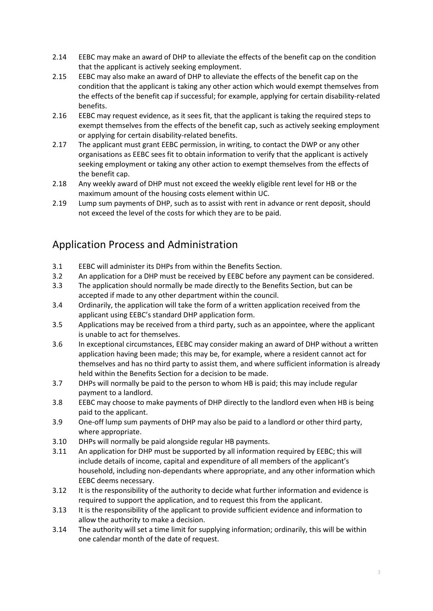- 2.14 EEBC may make an award of DHP to alleviate the effects of the benefit cap on the condition that the applicant is actively seeking employment.
- 2.15 EEBC may also make an award of DHP to alleviate the effects of the benefit cap on the condition that the applicant is taking any other action which would exempt themselves from the effects of the benefit cap if successful; for example, applying for certain disability-related benefits.
- 2.16 EEBC may request evidence, as it sees fit, that the applicant is taking the required steps to exempt themselves from the effects of the benefit cap, such as actively seeking employment or applying for certain disability-related benefits.
- 2.17 The applicant must grant EEBC permission, in writing, to contact the DWP or any other organisations as EEBC sees fit to obtain information to verify that the applicant is actively seeking employment or taking any other action to exempt themselves from the effects of the benefit cap.
- 2.18 Any weekly award of DHP must not exceed the weekly eligible rent level for HB or the maximum amount of the housing costs element within UC.
- 2.19 Lump sum payments of DHP, such as to assist with rent in advance or rent deposit, should not exceed the level of the costs for which they are to be paid.

## Application Process and Administration

- 3.1 EEBC will administer its DHPs from within the Benefits Section.
- 3.2 An application for a DHP must be received by EEBC before any payment can be considered.
- 3.3 The application should normally be made directly to the Benefits Section, but can be accepted if made to any other department within the council.
- 3.4 Ordinarily, the application will take the form of a written application received from the applicant using EEBC's standard DHP application form.
- 3.5 Applications may be received from a third party, such as an appointee, where the applicant is unable to act for themselves.
- 3.6 In exceptional circumstances, EEBC may consider making an award of DHP without a written application having been made; this may be, for example, where a resident cannot act for themselves and has no third party to assist them, and where sufficient information is already held within the Benefits Section for a decision to be made.
- 3.7 DHPs will normally be paid to the person to whom HB is paid; this may include regular payment to a landlord.
- 3.8 EEBC may choose to make payments of DHP directly to the landlord even when HB is being paid to the applicant.
- 3.9 One-off lump sum payments of DHP may also be paid to a landlord or other third party, where appropriate.
- 3.10 DHPs will normally be paid alongside regular HB payments.
- 3.11 An application for DHP must be supported by all information required by EEBC; this will include details of income, capital and expenditure of all members of the applicant's household, including non-dependants where appropriate, and any other information which EEBC deems necessary.
- 3.12 It is the responsibility of the authority to decide what further information and evidence is required to support the application, and to request this from the applicant.
- 3.13 It is the responsibility of the applicant to provide sufficient evidence and information to allow the authority to make a decision.
- 3.14 The authority will set a time limit for supplying information; ordinarily, this will be within one calendar month of the date of request.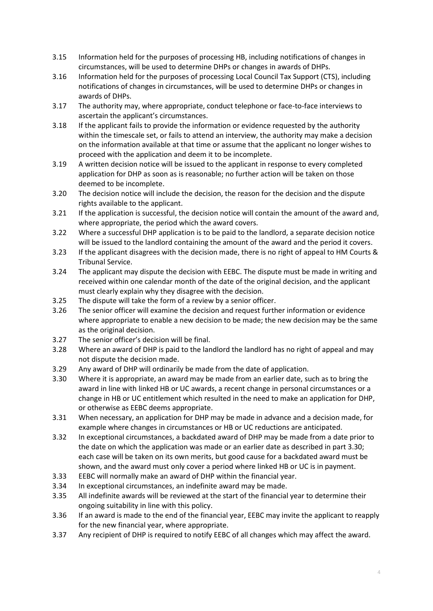- 3.15 Information held for the purposes of processing HB, including notifications of changes in circumstances, will be used to determine DHPs or changes in awards of DHPs.
- 3.16 Information held for the purposes of processing Local Council Tax Support (CTS), including notifications of changes in circumstances, will be used to determine DHPs or changes in awards of DHPs.
- 3.17 The authority may, where appropriate, conduct telephone or face-to-face interviews to ascertain the applicant's circumstances.
- 3.18 If the applicant fails to provide the information or evidence requested by the authority within the timescale set, or fails to attend an interview, the authority may make a decision on the information available at that time or assume that the applicant no longer wishes to proceed with the application and deem it to be incomplete.
- 3.19 A written decision notice will be issued to the applicant in response to every completed application for DHP as soon as is reasonable; no further action will be taken on those deemed to be incomplete.
- 3.20 The decision notice will include the decision, the reason for the decision and the dispute rights available to the applicant.
- 3.21 If the application is successful, the decision notice will contain the amount of the award and, where appropriate, the period which the award covers.
- 3.22 Where a successful DHP application is to be paid to the landlord, a separate decision notice will be issued to the landlord containing the amount of the award and the period it covers.
- 3.23 If the applicant disagrees with the decision made, there is no right of appeal to HM Courts & Tribunal Service.
- 3.24 The applicant may dispute the decision with EEBC. The dispute must be made in writing and received within one calendar month of the date of the original decision, and the applicant must clearly explain why they disagree with the decision.
- 3.25 The dispute will take the form of a review by a senior officer.
- 3.26 The senior officer will examine the decision and request further information or evidence where appropriate to enable a new decision to be made; the new decision may be the same as the original decision.
- 3.27 The senior officer's decision will be final.
- 3.28 Where an award of DHP is paid to the landlord the landlord has no right of appeal and may not dispute the decision made.
- 3.29 Any award of DHP will ordinarily be made from the date of application.
- 3.30 Where it is appropriate, an award may be made from an earlier date, such as to bring the award in line with linked HB or UC awards, a recent change in personal circumstances or a change in HB or UC entitlement which resulted in the need to make an application for DHP, or otherwise as EEBC deems appropriate.
- 3.31 When necessary, an application for DHP may be made in advance and a decision made, for example where changes in circumstances or HB or UC reductions are anticipated.
- 3.32 In exceptional circumstances, a backdated award of DHP may be made from a date prior to the date on which the application was made or an earlier date as described in part 3.30; each case will be taken on its own merits, but good cause for a backdated award must be shown, and the award must only cover a period where linked HB or UC is in payment.
- 3.33 EEBC will normally make an award of DHP within the financial year.
- 3.34 In exceptional circumstances, an indefinite award may be made.
- 3.35 All indefinite awards will be reviewed at the start of the financial year to determine their ongoing suitability in line with this policy.
- 3.36 If an award is made to the end of the financial year, EEBC may invite the applicant to reapply for the new financial year, where appropriate.
- 3.37 Any recipient of DHP is required to notify EEBC of all changes which may affect the award.